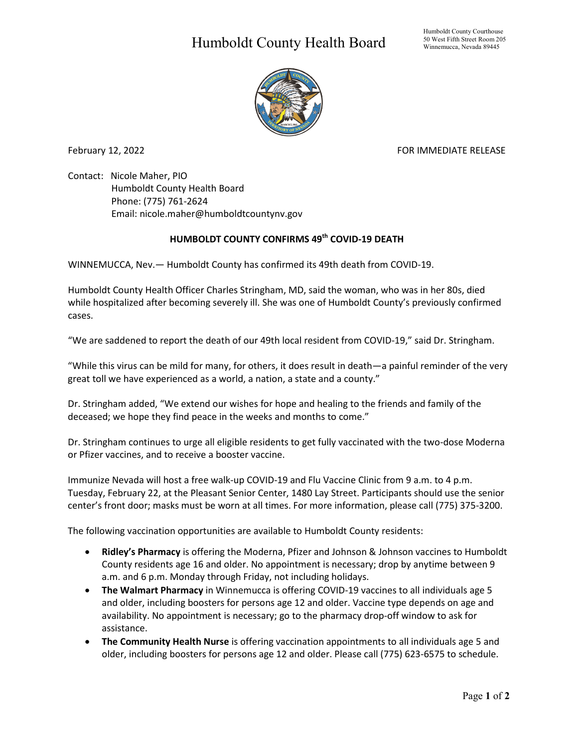## Humboldt County Health Board



February 12, 2022 **FOR IMMEDIATE RELEASE** 

Contact: Nicole Maher, PIO Humboldt County Health Board Phone: (775) 761-2624 Email: nicole.maher@humboldtcountynv.gov

## **HUMBOLDT COUNTY CONFIRMS 49th COVID-19 DEATH**

WINNEMUCCA, Nev.— Humboldt County has confirmed its 49th death from COVID-19.

Humboldt County Health Officer Charles Stringham, MD, said the woman, who was in her 80s, died while hospitalized after becoming severely ill. She was one of Humboldt County's previously confirmed cases.

"We are saddened to report the death of our 49th local resident from COVID-19," said Dr. Stringham.

"While this virus can be mild for many, for others, it does result in death—a painful reminder of the very great toll we have experienced as a world, a nation, a state and a county."

Dr. Stringham added, "We extend our wishes for hope and healing to the friends and family of the deceased; we hope they find peace in the weeks and months to come."

Dr. Stringham continues to urge all eligible residents to get fully vaccinated with the two-dose Moderna or Pfizer vaccines, and to receive a booster vaccine.

Immunize Nevada will host a free walk-up COVID-19 and Flu Vaccine Clinic from 9 a.m. to 4 p.m. Tuesday, February 22, at the Pleasant Senior Center, 1480 Lay Street. Participants should use the senior center's front door; masks must be worn at all times. For more information, please call (775) 375-3200.

The following vaccination opportunities are available to Humboldt County residents:

- **Ridley's Pharmacy** is offering the Moderna, Pfizer and Johnson & Johnson vaccines to Humboldt County residents age 16 and older. No appointment is necessary; drop by anytime between 9 a.m. and 6 p.m. Monday through Friday, not including holidays.
- **The Walmart Pharmacy** in Winnemucca is offering COVID-19 vaccines to all individuals age 5 and older, including boosters for persons age 12 and older. Vaccine type depends on age and availability. No appointment is necessary; go to the pharmacy drop-off window to ask for assistance.
- **The Community Health Nurse** is offering vaccination appointments to all individuals age 5 and older, including boosters for persons age 12 and older. Please call (775) 623-6575 to schedule.